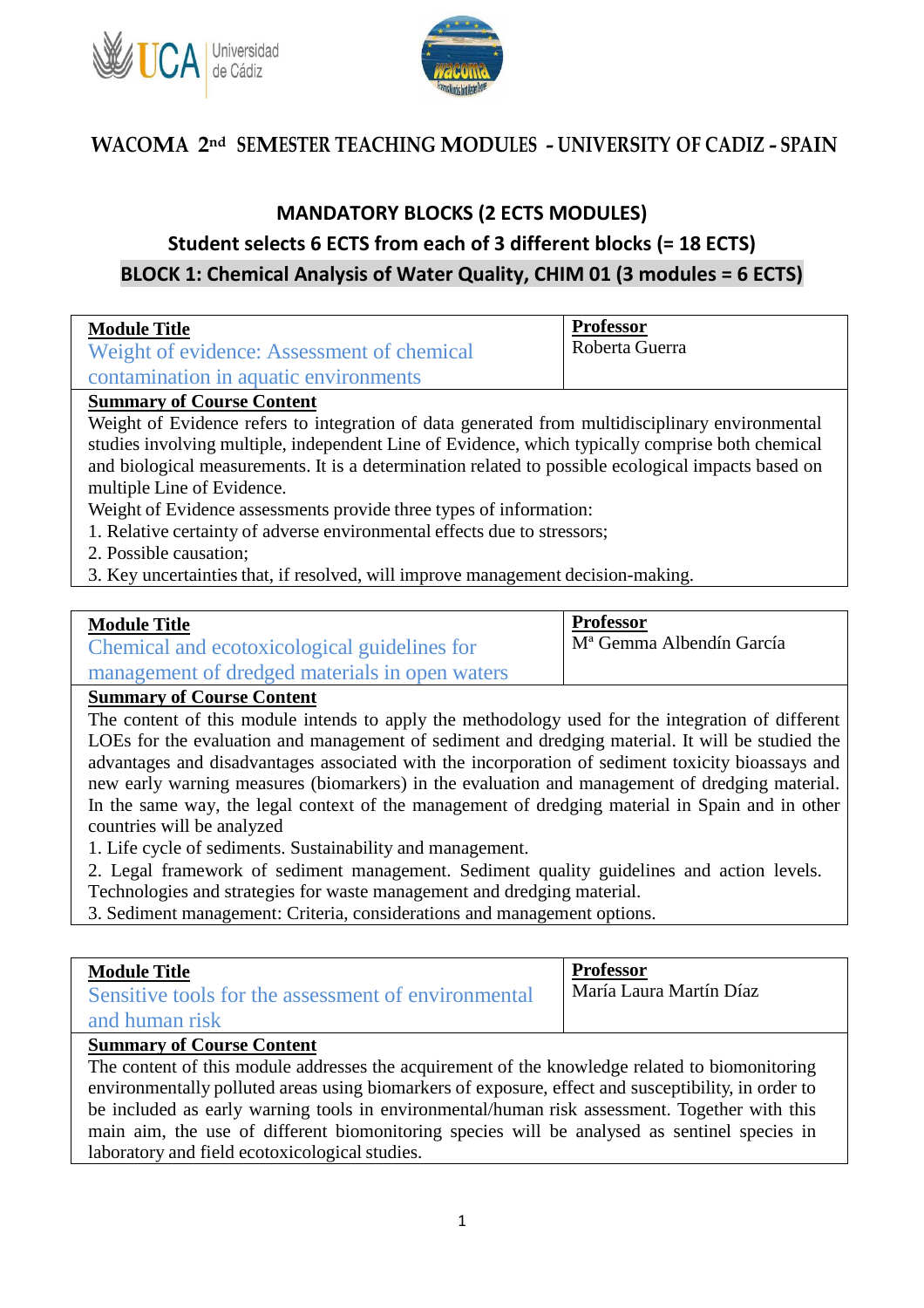



## **MANDATORY BLOCKS (2 ECTS MODULES) Student selects 6 ECTS from each of 3 different blocks (= 18 ECTS) BLOCK 1: Chemical Analysis of Water Quality, CHIM 01 (3 modules = 6 ECTS)**

| <b>Module Title</b><br>Weight of evidence: Assessment of chemical<br>contamination in aquatic environments | <b>Professor</b><br>Roberta Guerra |  |  |
|------------------------------------------------------------------------------------------------------------|------------------------------------|--|--|
| <b>Summary of Course Content</b>                                                                           |                                    |  |  |
| Weight of Evidence refers to integration of data generated from multidisciplinary environmental            |                                    |  |  |
| studies involving multiple, independent Line of Evidence, which typically comprise both chemical           |                                    |  |  |

and biological measurements. It is a determination related to possible ecological impacts based on multiple Line of Evidence.

Weight of Evidence assessments provide three types of information:

- 1. Relative certainty of adverse environmental effects due to stressors;
- 2. Possible causation;

3. Key uncertainties that, if resolved, will improve management decision-making.

#### **Module Title**

Chemical and ecotoxicological guidelines for management of dredged materials in open waters Mª Gemma Albendín García

**Professor**

**Summary of Course Content**

The content of this module intends to apply the methodology used for the integration of different LOEs for the evaluation and management of sediment and dredging material. It will be studied the advantages and disadvantages associated with the incorporation of sediment toxicity bioassays and new early warning measures (biomarkers) in the evaluation and management of dredging material. In the same way, the legal context of the management of dredging material in Spain and in other countries will be analyzed

1. Life cycle of sediments. Sustainability and management.

2. Legal framework of sediment management. Sediment quality guidelines and action levels. Technologies and strategies for waste management and dredging material.

3. Sediment management: Criteria, considerations and management options.

| <b>Module Title</b><br>Sensitive tools for the assessment of environmental<br>and human risk | <b>Professor</b><br>María Laura Martín Díaz |
|----------------------------------------------------------------------------------------------|---------------------------------------------|
|----------------------------------------------------------------------------------------------|---------------------------------------------|

#### **Summary of Course Content**

The content of this module addresses the acquirement of the knowledge related to biomonitoring environmentally polluted areas using biomarkers of exposure, effect and susceptibility, in order to be included as early warning tools in environmental/human risk assessment. Together with this main aim, the use of different biomonitoring species will be analysed as sentinel species in laboratory and field ecotoxicological studies.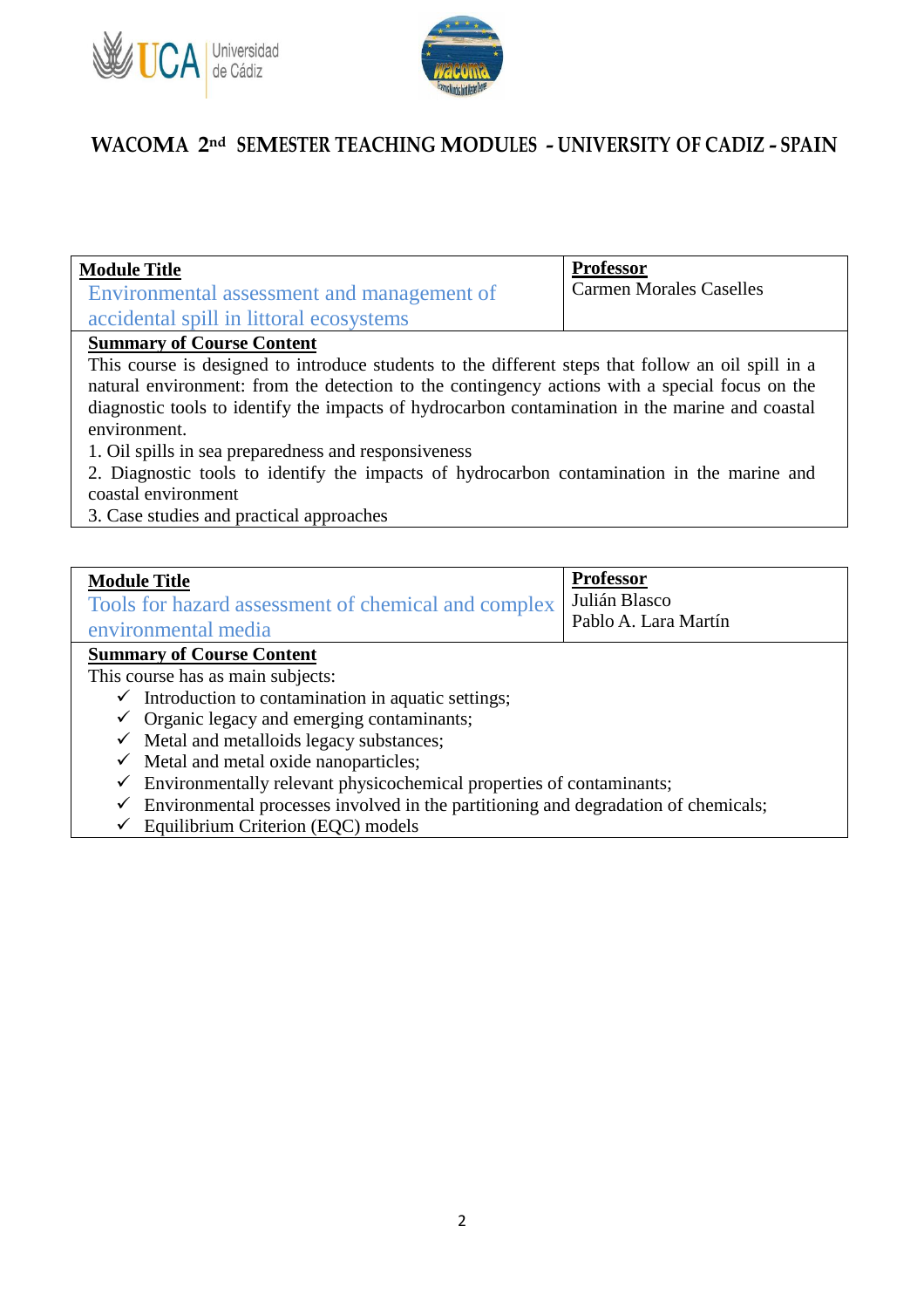



| <b>Module Title</b><br>Environmental assessment and management of                                  | <b>Professor</b><br><b>Carmen Morales Caselles</b> |
|----------------------------------------------------------------------------------------------------|----------------------------------------------------|
| accidental spill in littoral ecosystems                                                            |                                                    |
| <b>Summary of Course Content</b>                                                                   |                                                    |
| This course is designed to introduce students to the different steps that follow an oil spill in a |                                                    |

natural environment: from the detection to the contingency actions with a special focus on the diagnostic tools to identify the impacts of hydrocarbon contamination in the marine and coastal environment.

1. Oil spills in sea preparedness and responsiveness

2. Diagnostic tools to identify the impacts of hydrocarbon contamination in the marine and coastal environment

3. Case studies and practical approaches

| <b>Module Title</b><br>Tools for hazard assessment of chemical and complex<br>environmental media | <b>Professor</b><br>Julián Blasco<br>Pablo A. Lara Martín |
|---------------------------------------------------------------------------------------------------|-----------------------------------------------------------|
| <b>Summary of Course Content</b>                                                                  |                                                           |
| This course has as main subjects:                                                                 |                                                           |
| $\checkmark$ Introduction to contamination in aquatic settings;                                   |                                                           |
| $\checkmark$ Organic legacy and emerging contaminants;                                            |                                                           |
| $\checkmark$ Metal and metalloids legacy substances;                                              |                                                           |
| Metal and metal oxide nanoparticles;<br>$\checkmark$                                              |                                                           |
|                                                                                                   |                                                           |

- $\checkmark$  Environmentally relevant physicochemical properties of contaminants;
- $\checkmark$  Environmental processes involved in the partitioning and degradation of chemicals;
- $\checkmark$  Equilibrium Criterion (EQC) models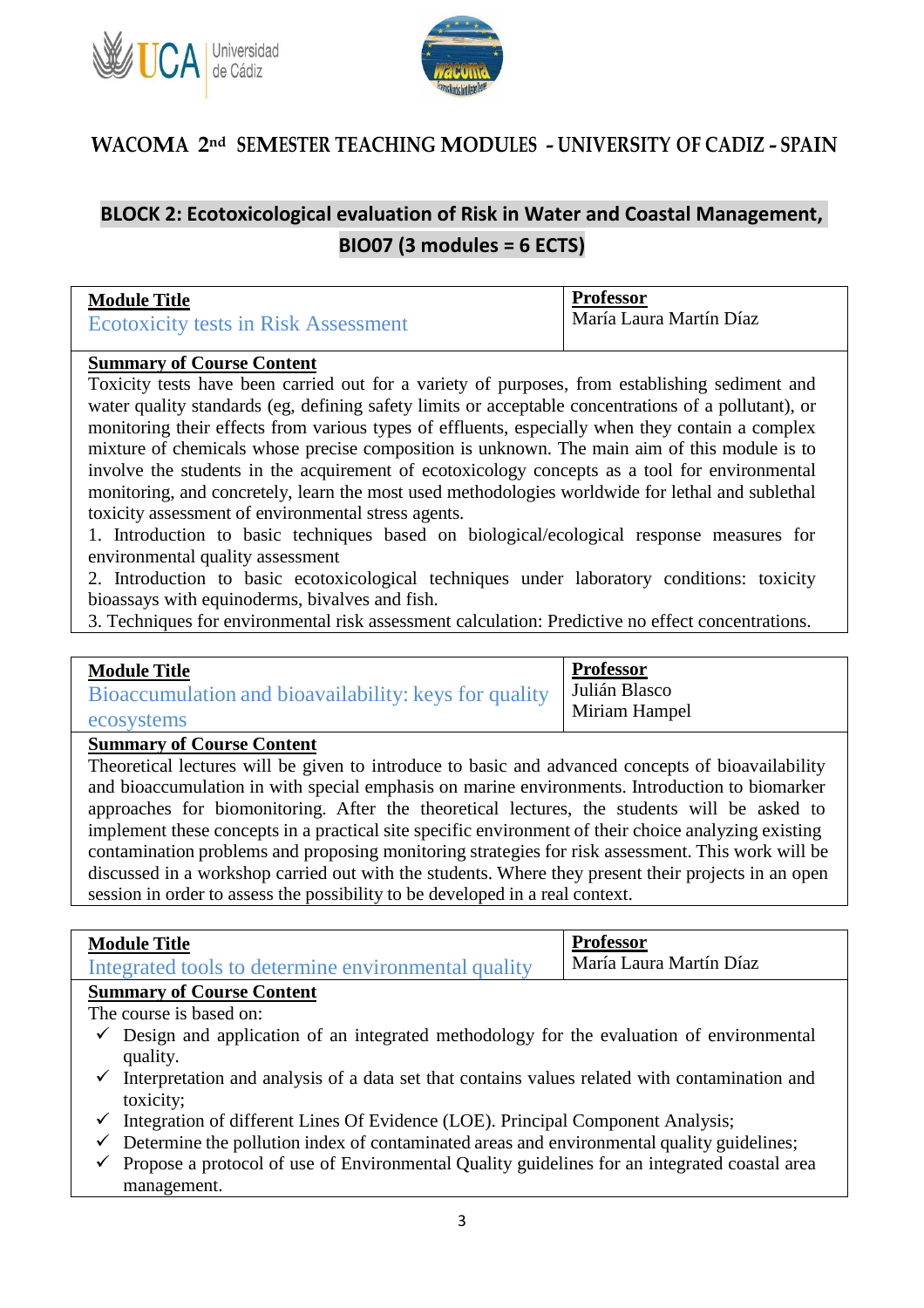



### **BLOCK 2: Ecotoxicological evaluation of Risk in Water and Coastal Management, BIO07 (3 modules = 6 ECTS)**

| <b>Module Title</b>                         | <b>Professor</b>        |
|---------------------------------------------|-------------------------|
| <b>Ecotoxicity tests in Risk Assessment</b> | María Laura Martín Díaz |

#### **Summary of Course Content**

Toxicity tests have been carried out for a variety of purposes, from establishing sediment and water quality standards (eg, defining safety limits or acceptable concentrations of a pollutant), or monitoring their effects from various types of effluents, especially when they contain a complex mixture of chemicals whose precise composition is unknown. The main aim of this module is to involve the students in the acquirement of ecotoxicology concepts as a tool for environmental monitoring, and concretely, learn the most used methodologies worldwide for lethal and sublethal toxicity assessment of environmental stress agents.

1. Introduction to basic techniques based on biological/ecological response measures for environmental quality assessment

2. Introduction to basic ecotoxicological techniques under laboratory conditions: toxicity bioassays with equinoderms, bivalves and fish.

3. Techniques for environmental risk assessment calculation: Predictive no effect concentrations.

| <b>Module Title</b>                                   | <b>Professor</b> |
|-------------------------------------------------------|------------------|
| Bioaccumulation and bioavailability: keys for quality | Julián Blasco    |
| ecosystems                                            | Miriam Hampel    |

#### **Summary of Course Content**

Theoretical lectures will be given to introduce to basic and advanced concepts of bioavailability and bioaccumulation in with special emphasis on marine environments. Introduction to biomarker approaches for biomonitoring. After the theoretical lectures, the students will be asked to implement these concepts in a practical site specific environment of their choice analyzing existing contamination problems and proposing monitoring strategies for risk assessment. This work will be discussed in a workshop carried out with the students. Where they present their projects in an open session in order to assess the possibility to be developed in a real context.

#### **Module Title**

| <b>MOUNT THE</b><br>Integrated tools to determine environmental quality | María Laura Martín Díaz |
|-------------------------------------------------------------------------|-------------------------|

**Professor**

The course is based on:

- $\checkmark$  Design and application of an integrated methodology for the evaluation of environmental quality.
- $\checkmark$  Interpretation and analysis of a data set that contains values related with contamination and toxicity;
- $\checkmark$  Integration of different Lines Of Evidence (LOE). Principal Component Analysis;
- $\checkmark$  Determine the pollution index of contaminated areas and environmental quality guidelines;
- $\checkmark$  Propose a protocol of use of Environmental Quality guidelines for an integrated coastal area management.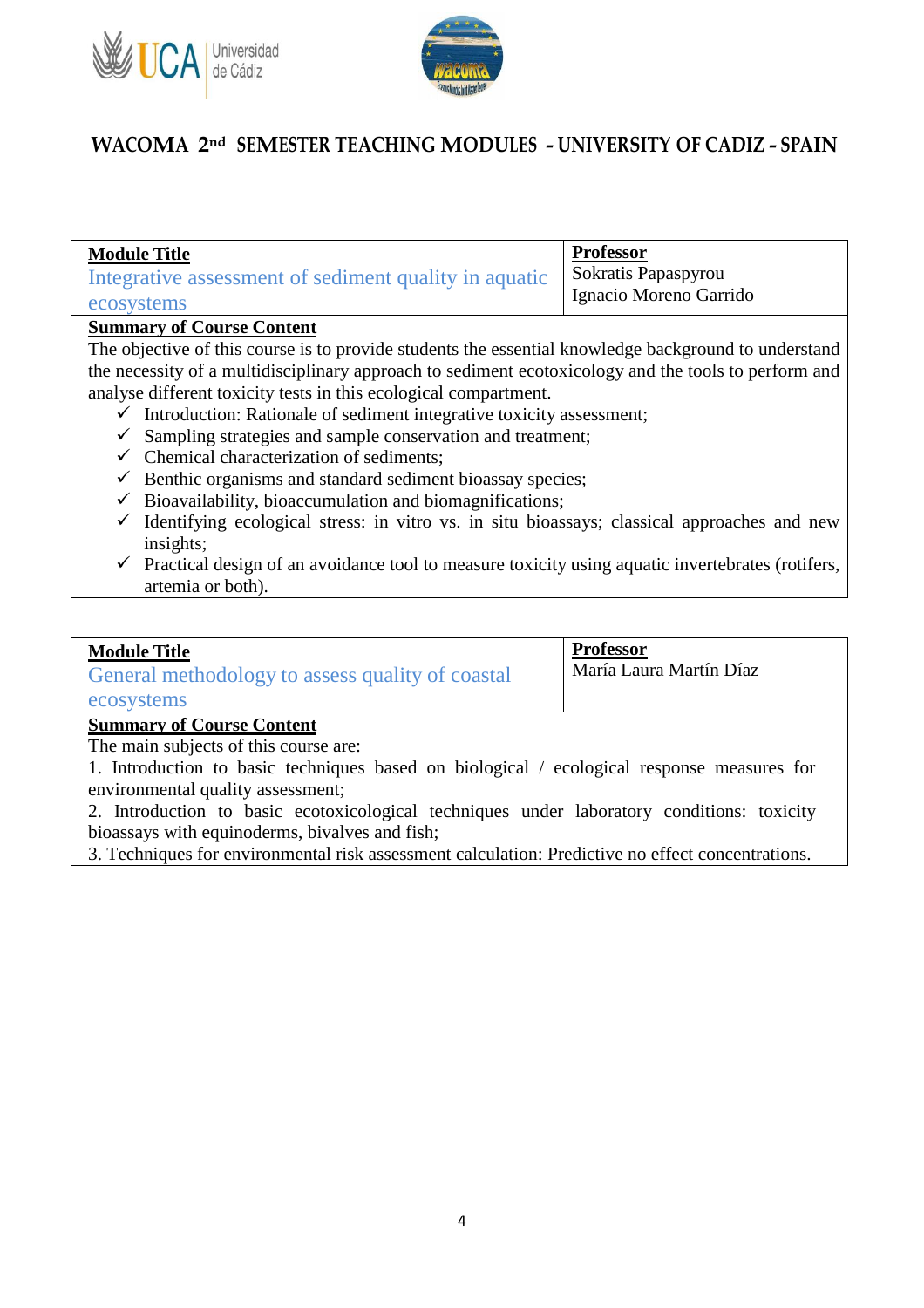



| <b>Module Title</b>                                   | <b>Professor</b>       |
|-------------------------------------------------------|------------------------|
| Integrative assessment of sediment quality in aquatic | Sokratis Papaspyrou    |
| ecosystems                                            | Ignacio Moreno Garrido |
|                                                       |                        |

#### **Summary of Course Content**

The objective of this course is to provide students the essential knowledge background to understand the necessity of a multidisciplinary approach to sediment ecotoxicology and the tools to perform and analyse different toxicity tests in this ecological compartment.

- $\checkmark$  Introduction: Rationale of sediment integrative toxicity assessment;
- $\checkmark$  Sampling strategies and sample conservation and treatment;
- $\checkmark$  Chemical characterization of sediments:
- $\checkmark$  Benthic organisms and standard sediment bioassay species;
- $\checkmark$  Bioavailability, bioaccumulation and biomagnifications;
- $\checkmark$  Identifying ecological stress: in vitro vs. in situ bioassays; classical approaches and new insights;
- $\checkmark$  Practical design of an avoidance tool to measure toxicity using aquatic invertebrates (rotifers, artemia or both).

#### **Module Title**

| General methodology to assess quality of coastal |  |  |
|--------------------------------------------------|--|--|
| ecosystems                                       |  |  |

**Professor** María Laura Martín Díaz

#### **Summary of Course Content**

The main subjects of this course are:

1. Introduction to basic techniques based on biological / ecological response measures for environmental quality assessment;

2. Introduction to basic ecotoxicological techniques under laboratory conditions: toxicity bioassays with equinoderms, bivalves and fish;

3. Techniques for environmental risk assessment calculation: Predictive no effect concentrations.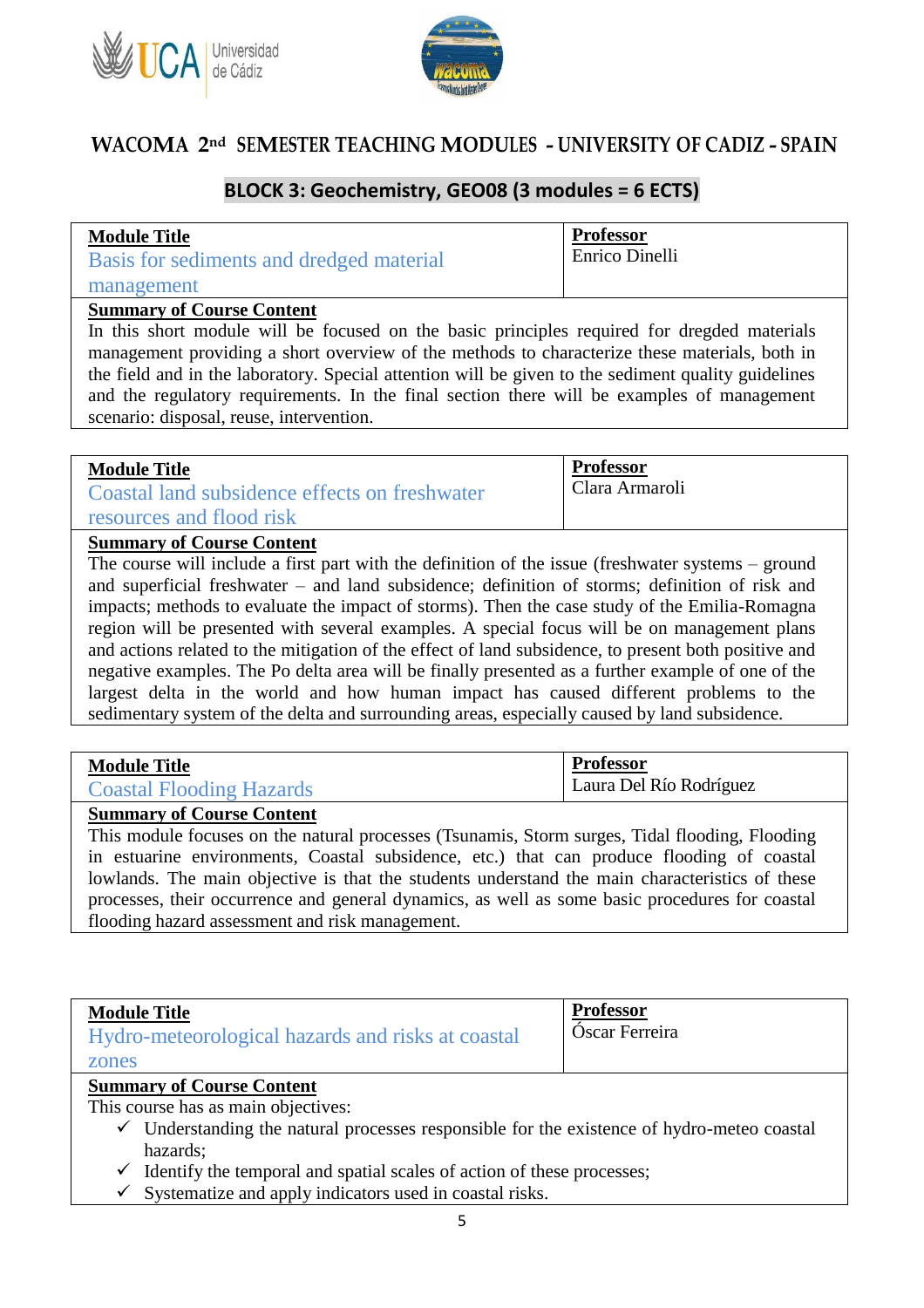



### **BLOCK 3: Geochemistry, GEO08 (3 modules = 6 ECTS)**

| <b>Module Title</b>                      | <b>Professor</b> |
|------------------------------------------|------------------|
| Basis for sediments and dredged material | Enrico Dinelli   |
| management                               |                  |

#### **Summary of Course Content**

In this short module will be focused on the basic principles required for dregded materials management providing a short overview of the methods to characterize these materials, both in the field and in the laboratory. Special attention will be given to the sediment quality guidelines and the regulatory requirements. In the final section there will be examples of management scenario: disposal, reuse, intervention.

| <b>Module Title</b>                           | <b>Professor</b> |
|-----------------------------------------------|------------------|
| Coastal land subsidence effects on freshwater | Clara Armaroli   |
| resources and flood risk                      |                  |

#### **Summary of Course Content**

The course will include a first part with the definition of the issue (freshwater systems – ground and superficial freshwater – and land subsidence; definition of storms; definition of risk and impacts; methods to evaluate the impact of storms). Then the case study of the Emilia-Romagna region will be presented with several examples. A special focus will be on management plans and actions related to the mitigation of the effect of land subsidence, to present both positive and negative examples. The Po delta area will be finally presented as a further example of one of the largest delta in the world and how human impact has caused different problems to the sedimentary system of the delta and surrounding areas, especially caused by land subsidence.

| <b>Module Title</b>             | Professor               |
|---------------------------------|-------------------------|
| <b>Coastal Flooding Hazards</b> | Laura Del Río Rodríguez |

#### **Summary of Course Content**

This module focuses on the natural processes (Tsunamis, Storm surges, Tidal flooding, Flooding in estuarine environments, Coastal subsidence, etc.) that can produce flooding of coastal lowlands. The main objective is that the students understand the main characteristics of these processes, their occurrence and general dynamics, as well as some basic procedures for coastal flooding hazard assessment and risk management.

| <b>Module Title</b><br>Hydro-meteorological hazards and risks at coastal<br>zones                                                                                                                                                                                                    | <b>Professor</b><br>Óscar Ferreira |
|--------------------------------------------------------------------------------------------------------------------------------------------------------------------------------------------------------------------------------------------------------------------------------------|------------------------------------|
| <b>Summary of Course Content</b><br>This course has as main objectives:<br>$\checkmark$ Understanding the natural processes responsible for the existence of hydro-meteo coastal<br>hazards;<br>Identify the temporal and spatial scales of action of these processes;<br>$\sqrt{ }$ |                                    |

 $\checkmark$  Systematize and apply indicators used in coastal risks.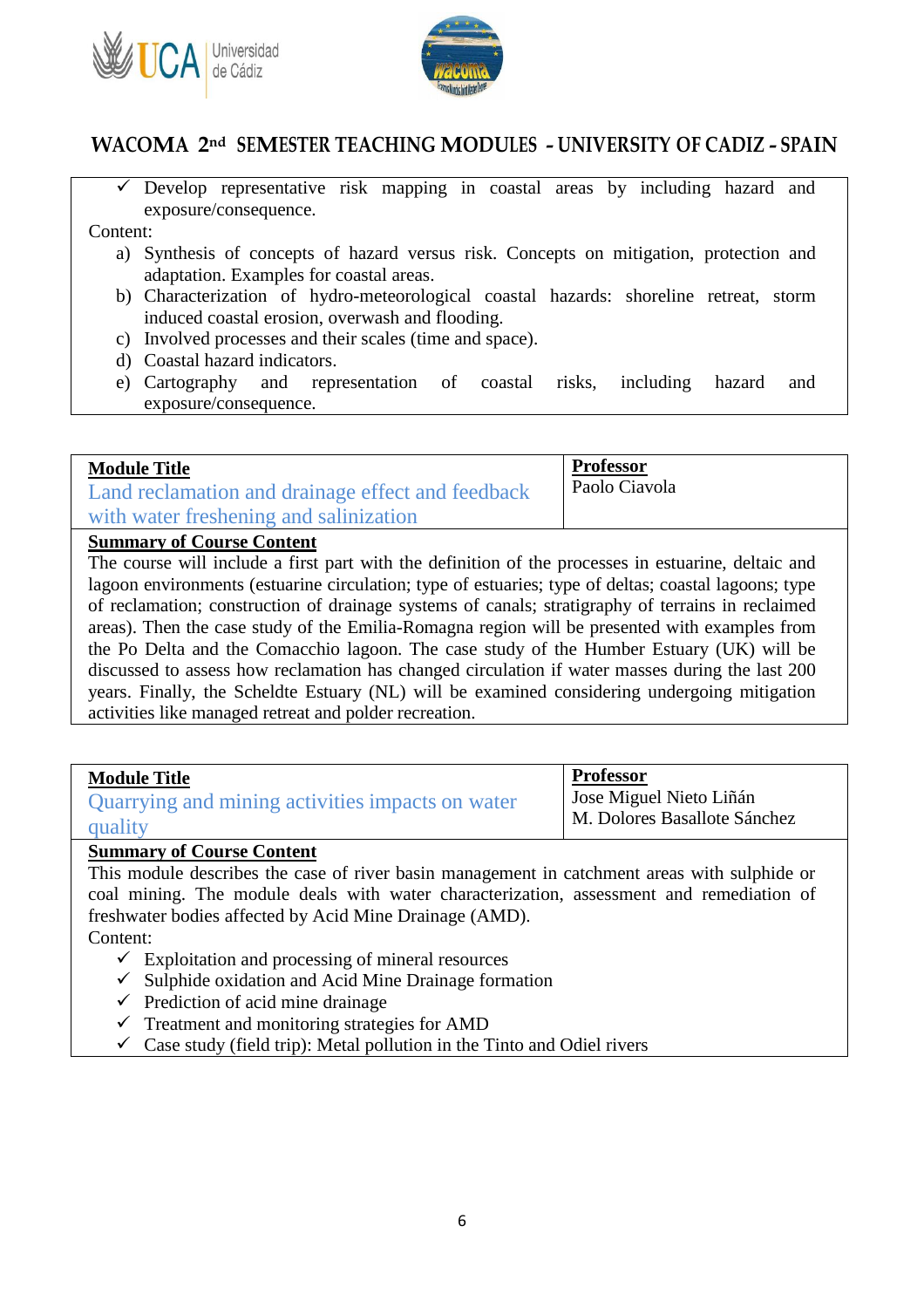



 $\checkmark$  Develop representative risk mapping in coastal areas by including hazard and exposure/consequence.

Content:

- a) Synthesis of concepts of hazard versus risk. Concepts on mitigation, protection and adaptation. Examples for coastal areas.
- b) Characterization of hydro-meteorological coastal hazards: shoreline retreat, storm induced coastal erosion, overwash and flooding.
- c) Involved processes and their scales (time and space).
- d) Coastal hazard indicators.
- e) Cartography and representation of coastal risks, including hazard and exposure/consequence.

| <b>Module Title</b>                               | <b>Professor</b> |
|---------------------------------------------------|------------------|
| Land reclamation and drainage effect and feedback | Paolo Ciavola    |
| with water freshening and salinization            |                  |

#### **Summary of Course Content**

The course will include a first part with the definition of the processes in estuarine, deltaic and lagoon environments (estuarine circulation; type of estuaries; type of deltas; coastal lagoons; type of reclamation; construction of drainage systems of canals; stratigraphy of terrains in reclaimed areas). Then the case study of the Emilia-Romagna region will be presented with examples from the Po Delta and the Comacchio lagoon. The case study of the Humber Estuary (UK) will be discussed to assess how reclamation has changed circulation if water masses during the last 200 years. Finally, the Scheldte Estuary (NL) will be examined considering undergoing mitigation activities like managed retreat and polder recreation.

| <b>Module Title</b>                              | <b>Professor</b>                                        |
|--------------------------------------------------|---------------------------------------------------------|
| Quarrying and mining activities impacts on water | Jose Miguel Nieto Liñán<br>M. Dolores Basallote Sánchez |
| quality                                          |                                                         |

#### **Summary of Course Content**

This module describes the case of river basin management in catchment areas with sulphide or coal mining. The module deals with water characterization, assessment and remediation of freshwater bodies affected by Acid Mine Drainage (AMD).

Content:

- $\checkmark$  Exploitation and processing of mineral resources
- $\checkmark$  Sulphide oxidation and Acid Mine Drainage formation
- $\checkmark$  Prediction of acid mine drainage
- $\checkmark$  Treatment and monitoring strategies for AMD
- $\checkmark$  Case study (field trip): Metal pollution in the Tinto and Odiel rivers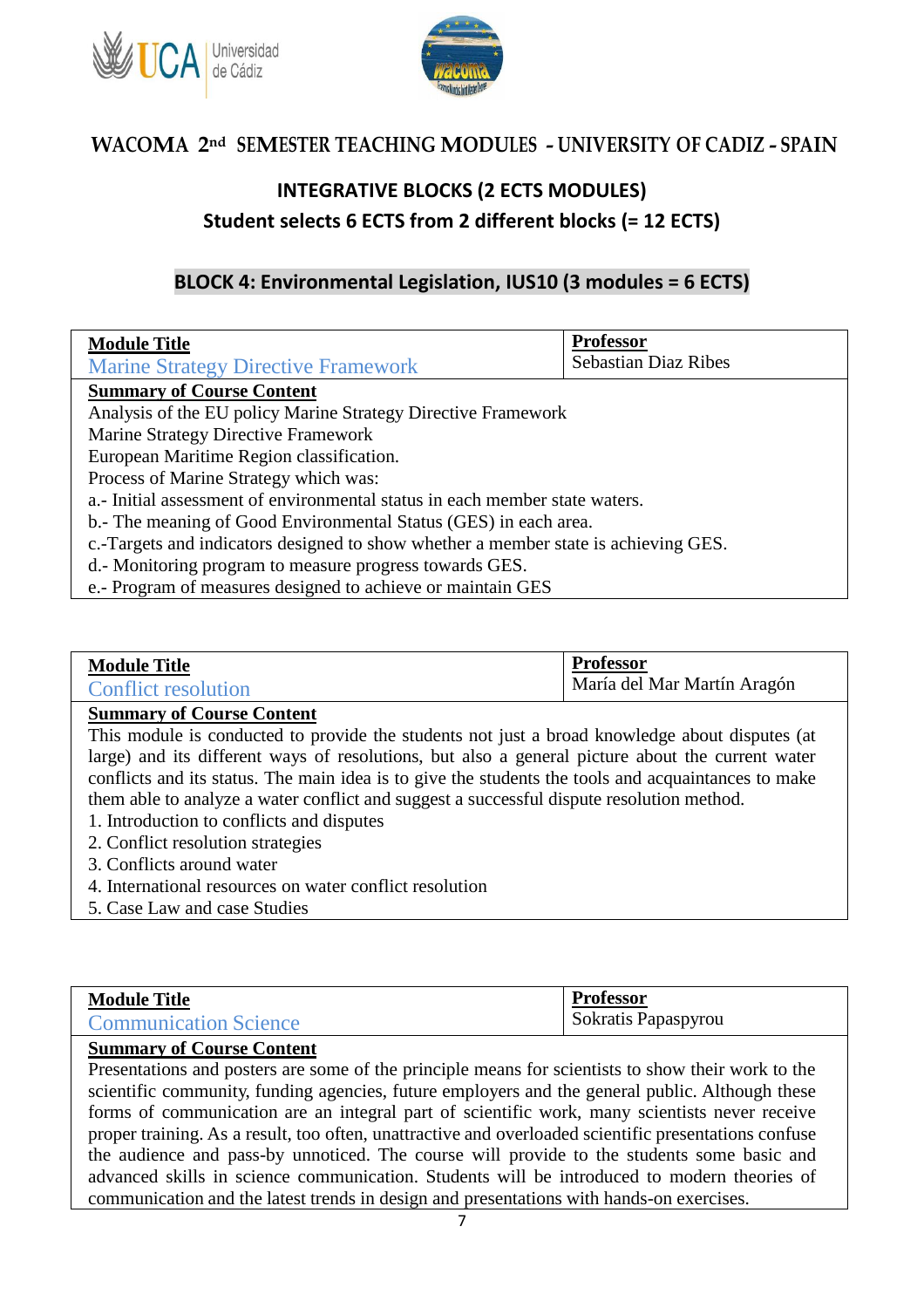



### **INTEGRATIVE BLOCKS (2 ECTS MODULES) Student selects 6 ECTS from 2 different blocks (= 12 ECTS)**

### **BLOCK 4: Environmental Legislation, IUS10 (3 modules = 6 ECTS)**

| <b>Module Title</b>                                                                 | <b>Professor</b>            |
|-------------------------------------------------------------------------------------|-----------------------------|
| <b>Marine Strategy Directive Framework</b>                                          | <b>Sebastian Diaz Ribes</b> |
| <b>Summary of Course Content</b>                                                    |                             |
| Analysis of the EU policy Marine Strategy Directive Framework                       |                             |
| Marine Strategy Directive Framework                                                 |                             |
| European Maritime Region classification.                                            |                             |
| Process of Marine Strategy which was:                                               |                             |
| a.- Initial assessment of environmental status in each member state waters.         |                             |
| b.- The meaning of Good Environmental Status (GES) in each area.                    |                             |
| c.-Targets and indicators designed to show whether a member state is achieving GES. |                             |
| d.- Monitoring program to measure progress towards GES.                             |                             |
| e.- Program of measures designed to achieve or maintain GES                         |                             |

#### **Module Title** Conflict resolution **Professor** María del Mar Martín Aragón

#### **Summary of Course Content**

This module is conducted to provide the students not just a broad knowledge about disputes (at large) and its different ways of resolutions, but also a general picture about the current water conflicts and its status. The main idea is to give the students the tools and acquaintances to make them able to analyze a water conflict and suggest a successful dispute resolution method.

- 1. Introduction to conflicts and disputes
- 2. Conflict resolution strategies
- 3. Conflicts around water
- 4. International resources on water conflict resolution
- 5. Case Law and case Studies

| <b>Module Title</b>          | <b>Professor</b>    |
|------------------------------|---------------------|
| <b>Communication Science</b> | Sokratis Papaspyrou |

#### **Summary of Course Content**

Presentations and posters are some of the principle means for scientists to show their work to the scientific community, funding agencies, future employers and the general public. Although these forms of communication are an integral part of scientific work, many scientists never receive proper training. As a result, too often, unattractive and overloaded scientific presentations confuse the audience and pass-by unnoticed. The course will provide to the students some basic and advanced skills in science communication. Students will be introduced to modern theories of communication and the latest trends in design and presentations with hands-on exercises.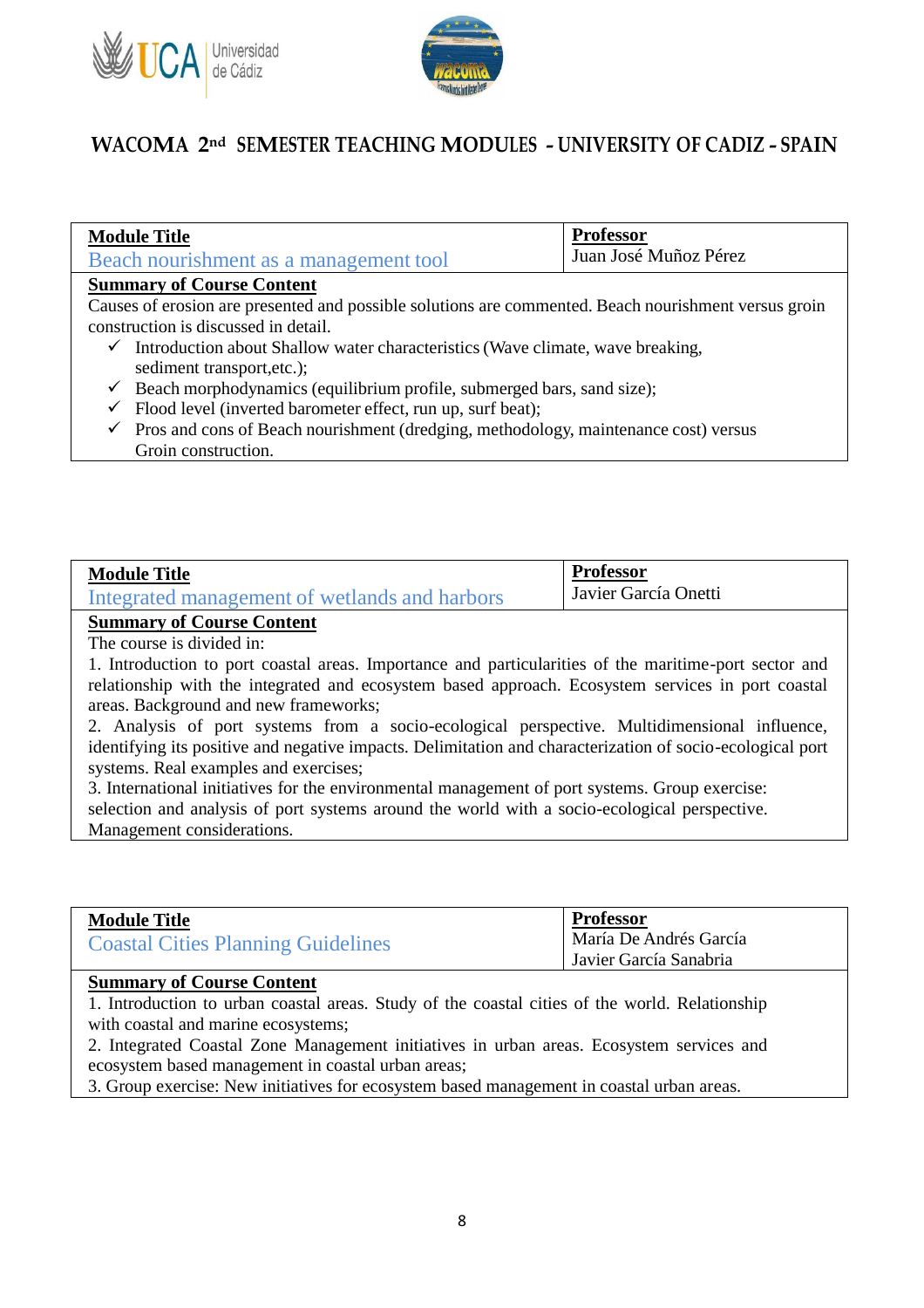



| <b>Module Title</b><br>Beach nourishment as a management tool                                        | <b>Professor</b><br>Juan José Muñoz Pérez |
|------------------------------------------------------------------------------------------------------|-------------------------------------------|
| <b>Summary of Course Content</b>                                                                     |                                           |
| Causes of erosion are presented and possible solutions are commented. Beach nourishment versus groin |                                           |
| construction is discussed in detail.                                                                 |                                           |

- $\checkmark$  Introduction about Shallow water characteristics (Wave climate, wave breaking, sediment transport,etc.);
- $\checkmark$  Beach morphodynamics (equilibrium profile, submerged bars, sand size);
- $\checkmark$  Flood level (inverted barometer effect, run up, surf beat);
- $\checkmark$  Pros and cons of Beach nourishment (dredging, methodology, maintenance cost) versus Groin construction.

| <b>Module Title</b>                           | <b>Professor</b>     |
|-----------------------------------------------|----------------------|
| Integrated management of wetlands and harbors | Javier García Onetti |
|                                               |                      |

### **Summary of Course Content**

The course is divided in:

1. Introduction to port coastal areas. Importance and particularities of the maritime-port sector and relationship with the integrated and ecosystem based approach. Ecosystem services in port coastal areas. Background and new frameworks;

2. Analysis of port systems from a socio-ecological perspective. Multidimensional influence, identifying its positive and negative impacts. Delimitation and characterization of socio-ecological port systems. Real examples and exercises;

3. International initiatives for the environmental management of port systems. Group exercise:

selection and analysis of port systems around the world with a socio-ecological perspective. Management considerations.

|                                           | <b>Professor</b>       |
|-------------------------------------------|------------------------|
| <b>Module Title</b>                       | María De Andrés García |
| <b>Coastal Cities Planning Guidelines</b> | Javier García Sanabria |

#### **Summary of Course Content**

1. Introduction to urban coastal areas. Study of the coastal cities of the world. Relationship with coastal and marine ecosystems;

2. Integrated Coastal Zone Management initiatives in urban areas. Ecosystem services and ecosystem based management in coastal urban areas;

3. Group exercise: New initiatives for ecosystem based management in coastal urban areas.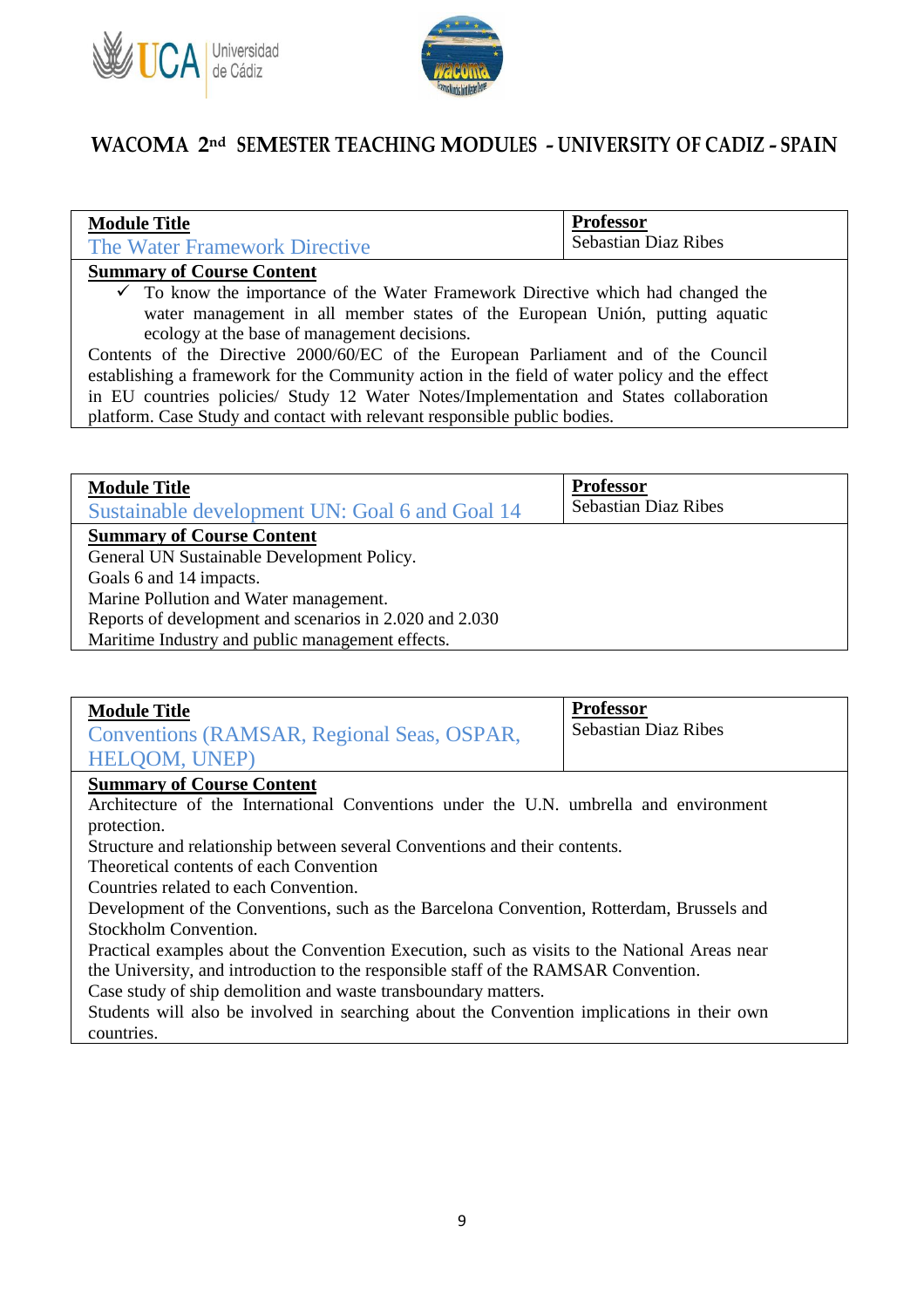



| <b>Module Title</b>                                                                           | <b>Professor</b>            |  |
|-----------------------------------------------------------------------------------------------|-----------------------------|--|
| The Water Framework Directive                                                                 | <b>Sebastian Diaz Ribes</b> |  |
| <b>Summary of Course Content</b>                                                              |                             |  |
| $\checkmark$ To know the importance of the Water Framework Directive which had changed the    |                             |  |
| water management in all member states of the European Unión, putting aquatic                  |                             |  |
| ecology at the base of management decisions.                                                  |                             |  |
| Contents of the Directive 2000/60/EC of the European Parliament and of the Council            |                             |  |
| establishing a framework for the Community action in the field of water policy and the effect |                             |  |
| in EU countries policies/ Study 12 Water Notes/Implementation and States collaboration        |                             |  |
| platform. Case Study and contact with relevant responsible public bodies.                     |                             |  |

| <b>Module Title</b>                                     | <b>Professor</b>            |
|---------------------------------------------------------|-----------------------------|
| Sustainable development UN: Goal 6 and Goal 14          | <b>Sebastian Diaz Ribes</b> |
| <b>Summary of Course Content</b>                        |                             |
| General UN Sustainable Development Policy.              |                             |
| Goals 6 and 14 impacts.                                 |                             |
| Marine Pollution and Water management.                  |                             |
| Reports of development and scenarios in 2.020 and 2.030 |                             |
| Maritime Industry and public management effects.        |                             |

| <b>Module Title</b><br>Conventions (RAMSAR, Regional Seas, OSPAR,<br>HELOOM, UNEP) | <b>Professor</b><br><b>Sebastian Diaz Ribes</b> |
|------------------------------------------------------------------------------------|-------------------------------------------------|
| <b>Summary of Course Content</b>                                                   |                                                 |

Architecture of the International Conventions under the U.N. umbrella and environment protection.

Structure and relationship between several Conventions and their contents.

Theoretical contents of each Convention

Countries related to each Convention.

Development of the Conventions, such as the Barcelona Convention, Rotterdam, Brussels and Stockholm Convention.

Practical examples about the Convention Execution, such as visits to the National Areas near the University, and introduction to the responsible staff of the RAMSAR Convention.

Case study of ship demolition and waste transboundary matters.

Students will also be involved in searching about the Convention implications in their own countries.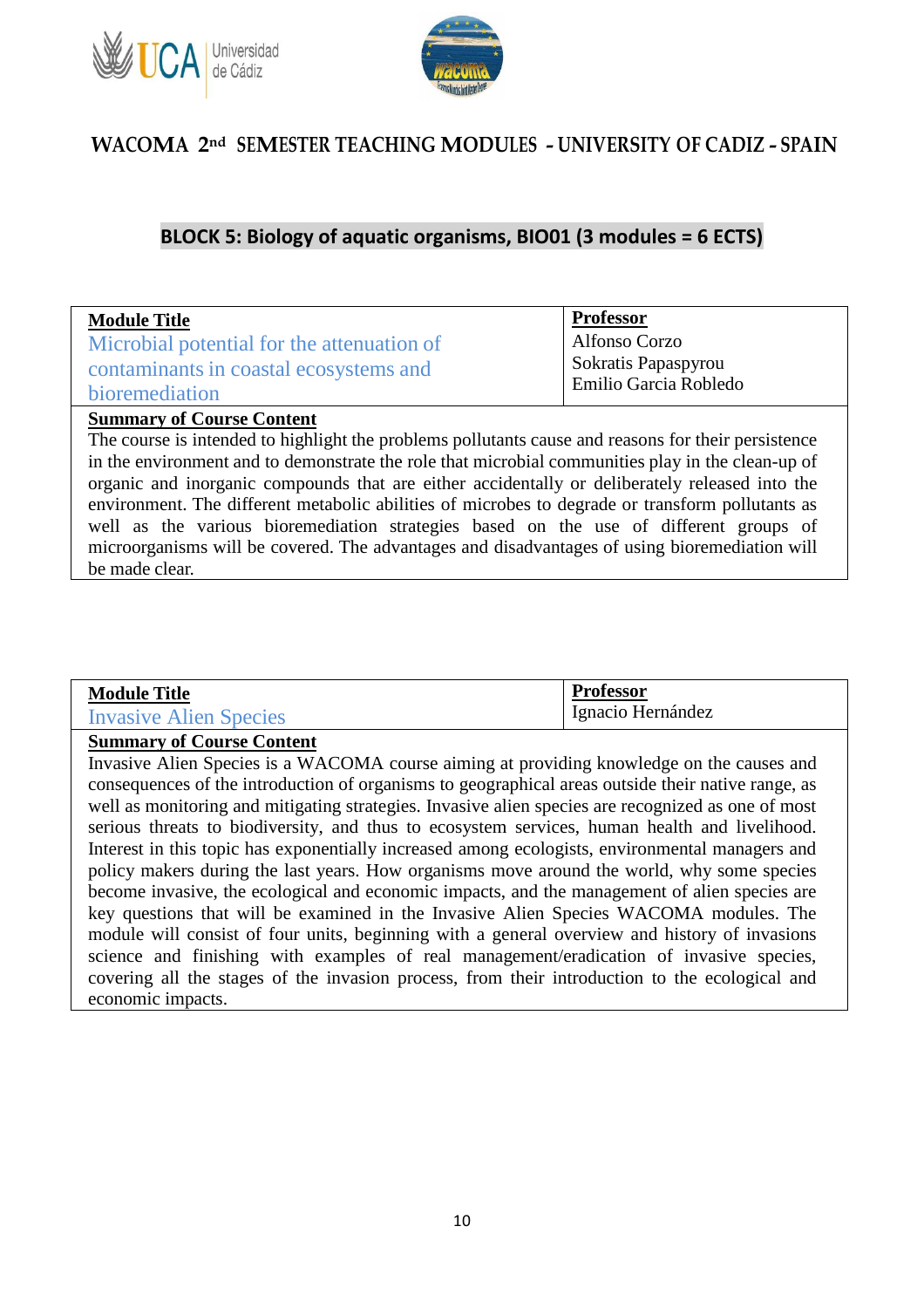



### **BLOCK 5: Biology of aquatic organisms, BIO01 (3 modules = 6 ECTS)**

| <b>Module Title</b>                        | <b>Professor</b>                   |
|--------------------------------------------|------------------------------------|
| Microbial potential for the attenuation of | Alfonso Corzo                      |
| contaminants in coastal ecosystems and     | Sokratis Papaspyrou                |
| bioremediation                             | <sup>1</sup> Emilio Garcia Robledo |

#### **Summary of Course Content**

The course is intended to highlight the problems pollutants cause and reasons for their persistence in the environment and to demonstrate the role that microbial communities play in the clean-up of organic and inorganic compounds that are either accidentally or deliberately released into the environment. The different metabolic abilities of microbes to degrade or transform pollutants as well as the various bioremediation strategies based on the use of different groups of microorganisms will be covered. The advantages and disadvantages of using bioremediation will be made clear.

| <b>Module Title</b>    | Protessor                         |
|------------------------|-----------------------------------|
| Invasive Alien Species | $\mathbf{r}$<br>Ignacio Hernández |

#### **Summary of Course Content**

Invasive Alien Species is a WACOMA course aiming at providing knowledge on the causes and consequences of the introduction of organisms to geographical areas outside their native range, as well as monitoring and mitigating strategies. Invasive alien species are recognized as one of most serious threats to biodiversity, and thus to ecosystem services, human health and livelihood. Interest in this topic has exponentially increased among ecologists, environmental managers and policy makers during the last years. How organisms move around the world, why some species become invasive, the ecological and economic impacts, and the management of alien species are key questions that will be examined in the Invasive Alien Species WACOMA modules. The module will consist of four units, beginning with a general overview and history of invasions science and finishing with examples of real management/eradication of invasive species, covering all the stages of the invasion process, from their introduction to the ecological and economic impacts.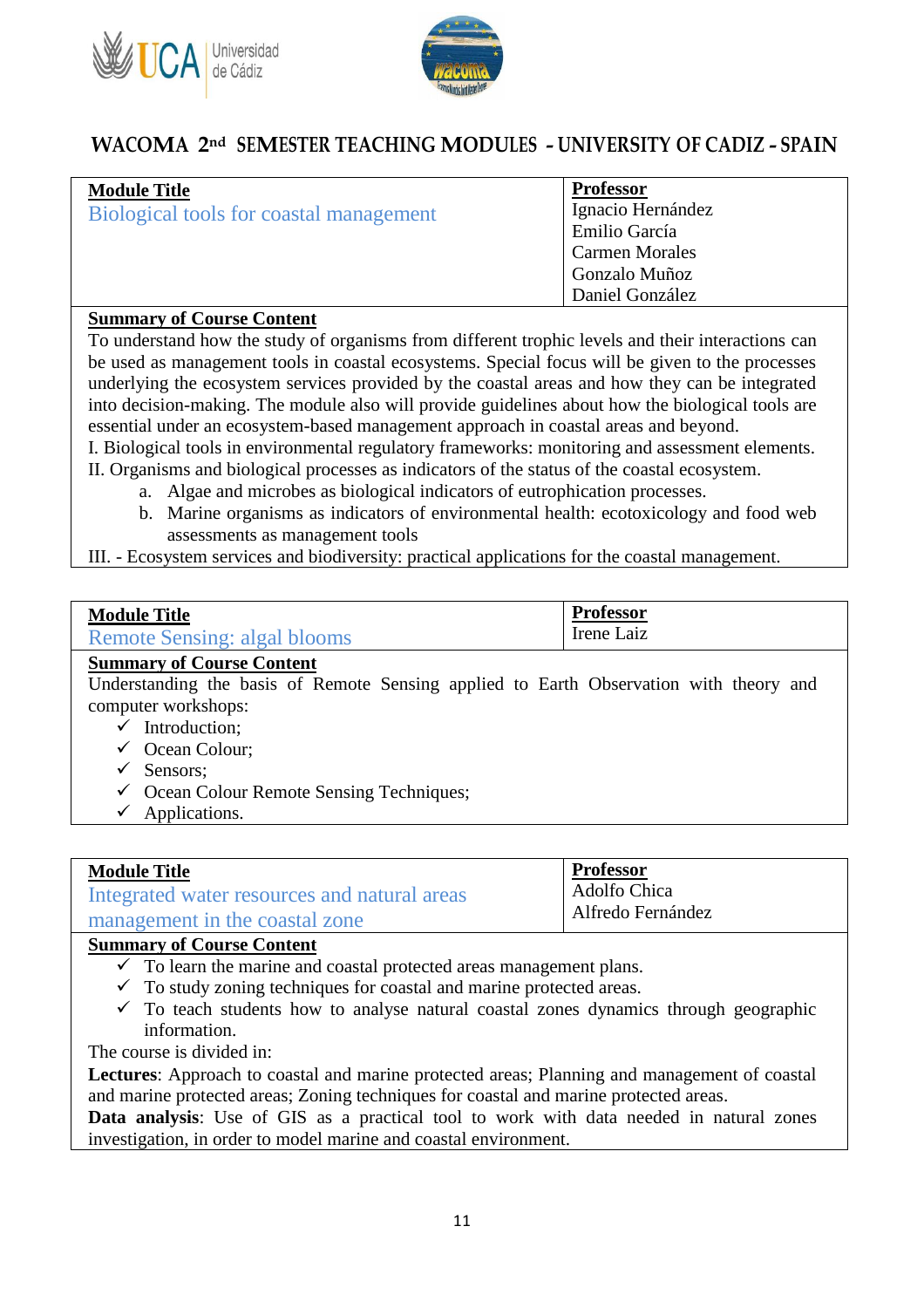



| <b>Module Title</b>                     | <b>Professor</b>      |
|-----------------------------------------|-----------------------|
| Biological tools for coastal management | Ignacio Hernández     |
|                                         | Emilio García         |
|                                         | <b>Carmen Morales</b> |
|                                         | Gonzalo Muñoz         |
|                                         | Daniel González       |

#### **Summary of Course Content**

To understand how the study of organisms from different trophic levels and their interactions can be used as management tools in coastal ecosystems. Special focus will be given to the processes underlying the ecosystem services provided by the coastal areas and how they can be integrated into decision-making. The module also will provide guidelines about how the biological tools are essential under an ecosystem-based management approach in coastal areas and beyond.

I. Biological tools in environmental regulatory frameworks: monitoring and assessment elements.

- II. Organisms and biological processes as indicators of the status of the coastal ecosystem.
	- a. Algae and microbes as biological indicators of eutrophication processes.
	- b. Marine organisms as indicators of environmental health: ecotoxicology and food web assessments as management tools

III. - Ecosystem services and biodiversity: practical applications for the coastal management.

| <b>Module Title</b>          | <b>Professor</b> |
|------------------------------|------------------|
| Remote Sensing: algal blooms | Irene Laiz       |

#### **Summary of Course Content**

Understanding the basis of Remote Sensing applied to Earth Observation with theory and computer workshops:

- $\checkmark$  Introduction:
- Ocean Colour;
- $\checkmark$  Sensors:
- $\checkmark$  Ocean Colour Remote Sensing Techniques;
- $\checkmark$  Applications.

#### **Module Title**

| Integrated water resources and natural areas |  |
|----------------------------------------------|--|
| management in the coastal zone               |  |

## **Summary of Course Content**

- $\checkmark$  To learn the marine and coastal protected areas management plans.
- $\checkmark$  To study zoning techniques for coastal and marine protected areas.
- $\checkmark$  To teach students how to analyse natural coastal zones dynamics through geographic information.

**Professor** Adolfo Chica Alfredo Fernández

The course is divided in:

**Lectures**: Approach to coastal and marine protected areas; Planning and management of coastal and marine protected areas; Zoning techniques for coastal and marine protected areas.

**Data analysis**: Use of GIS as a practical tool to work with data needed in natural zones investigation, in order to model marine and coastal environment.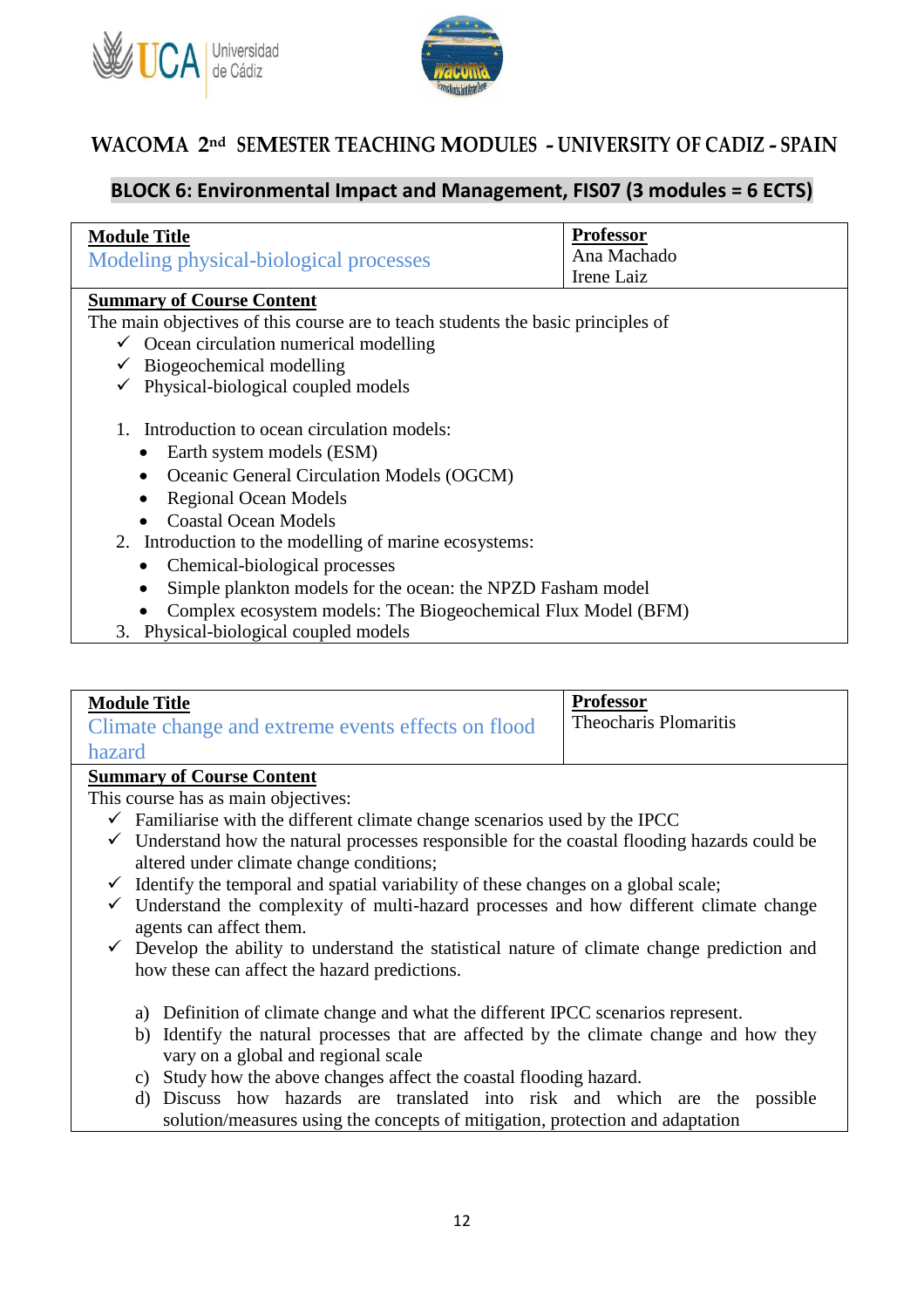



### **BLOCK 6: Environmental Impact and Management, FIS07 (3 modules = 6 ECTS)**

| <b>Module Title</b>                                                              | <b>Professor</b> |  |
|----------------------------------------------------------------------------------|------------------|--|
| Modeling physical-biological processes                                           | Ana Machado      |  |
|                                                                                  | Irene Laiz       |  |
| <b>Summary of Course Content</b>                                                 |                  |  |
| The main objectives of this course are to teach students the basic principles of |                  |  |
| $\checkmark$ Ocean circulation numerical modelling                               |                  |  |
| $\checkmark$ Biogeochemical modelling                                            |                  |  |
| $\checkmark$ Physical-biological coupled models                                  |                  |  |
|                                                                                  |                  |  |
| Introduction to ocean circulation models:                                        |                  |  |
| Earth system models (ESM)                                                        |                  |  |
| Oceanic General Circulation Models (OGCM)<br>$\bullet$                           |                  |  |
| <b>Regional Ocean Models</b>                                                     |                  |  |
| <b>Coastal Ocean Models</b>                                                      |                  |  |
| 2. Introduction to the modelling of marine ecosystems:                           |                  |  |
| Chemical-biological processes                                                    |                  |  |
| Simple plankton models for the ocean: the NPZD Fasham model                      |                  |  |
| Complex ecosystem models: The Biogeochemical Flux Model (BFM)                    |                  |  |
| 3. Physical-biological coupled models                                            |                  |  |

| <b>Module Title</b>                                | <b>Professor</b>             |
|----------------------------------------------------|------------------------------|
| Climate change and extreme events effects on flood | <b>Theocharis Plomaritis</b> |
| hazard                                             |                              |

#### **Summary of Course Content**

This course has as main objectives:

- $\checkmark$  Familiarise with the different climate change scenarios used by the IPCC
- $\checkmark$  Understand how the natural processes responsible for the coastal flooding hazards could be altered under climate change conditions;
- $\checkmark$  Identify the temporal and spatial variability of these changes on a global scale;
- $\checkmark$  Understand the complexity of multi-hazard processes and how different climate change agents can affect them.
- $\checkmark$  Develop the ability to understand the statistical nature of climate change prediction and how these can affect the hazard predictions.
	- a) Definition of climate change and what the different IPCC scenarios represent.
	- b) Identify the natural processes that are affected by the climate change and how they vary on a global and regional scale
	- c) Study how the above changes affect the coastal flooding hazard.
	- d) Discuss how hazards are translated into risk and which are the possible solution/measures using the concepts of mitigation, protection and adaptation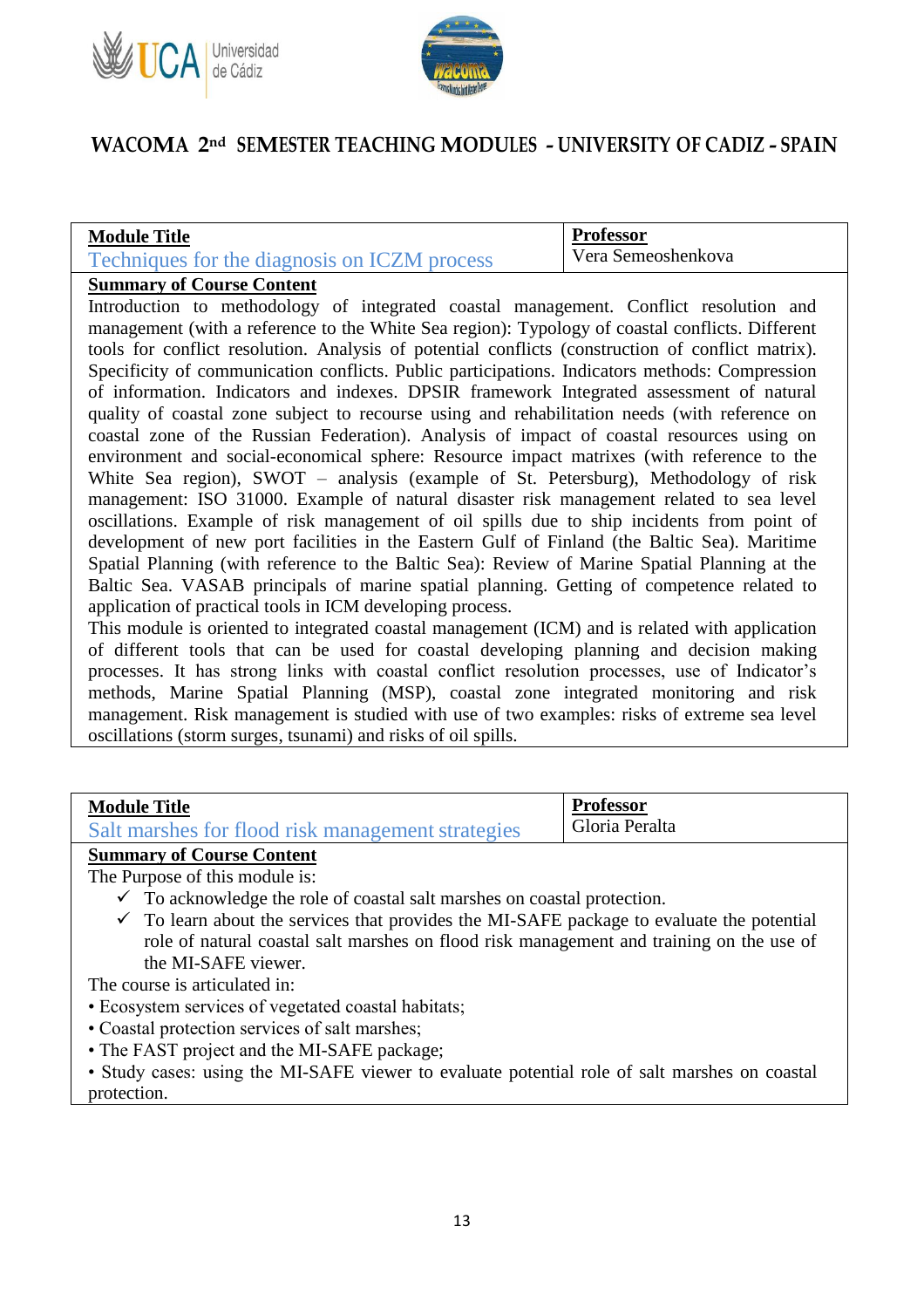



#### **Module Title**

| Techniques for the diagnosis on ICZM process |  |  |
|----------------------------------------------|--|--|
|                                              |  |  |

**Professor** Vera Semeoshenkova

### **Summary of Course Content**

Introduction to methodology of integrated coastal management. Conflict resolution and management (with a reference to the White Sea region): Typology of coastal conflicts. Different tools for conflict resolution. Analysis of potential conflicts (construction of conflict matrix). Specificity of communication conflicts. Public participations. Indicators methods: Compression of information. Indicators and indexes. DPSIR framework Integrated assessment of natural quality of coastal zone subject to recourse using and rehabilitation needs (with reference on coastal zone of the Russian Federation). Analysis of impact of coastal resources using on environment and social-economical sphere: Resource impact matrixes (with reference to the White Sea region), SWOT – analysis (example of St. Petersburg), Methodology of risk management: ISO 31000. Example of natural disaster risk management related to sea level oscillations. Example of risk management of oil spills due to ship incidents from point of development of new port facilities in the Eastern Gulf of Finland (the Baltic Sea). Maritime Spatial Planning (with reference to the Baltic Sea): Review of Marine Spatial Planning at the Baltic Sea. VASAB principals of marine spatial planning. Getting of competence related to application of practical tools in ICM developing process.

This module is oriented to integrated coastal management (ICM) and is related with application of different tools that can be used for coastal developing planning and decision making processes. It has strong links with coastal conflict resolution processes, use of Indicator's methods, Marine Spatial Planning (MSP), coastal zone integrated monitoring and risk management. Risk management is studied with use of two examples: risks of extreme sea level oscillations (storm surges, tsunami) and risks of oil spills.

| <b>Module Title</b>                               | <b>Professor</b> |
|---------------------------------------------------|------------------|
| Salt marshes for flood risk management strategies | Gloria Peralta   |
|                                                   |                  |

#### **Summary of Course Content**

The Purpose of this module is:

- $\checkmark$  To acknowledge the role of coastal salt marshes on coastal protection.
- $\checkmark$  To learn about the services that provides the MI-SAFE package to evaluate the potential role of natural coastal salt marshes on flood risk management and training on the use of the MI-SAFE viewer.

The course is articulated in:

- Ecosystem services of vegetated coastal habitats;
- Coastal protection services of salt marshes;
- The FAST project and the MI-SAFE package;

• Study cases: using the MI-SAFE viewer to evaluate potential role of salt marshes on coastal protection.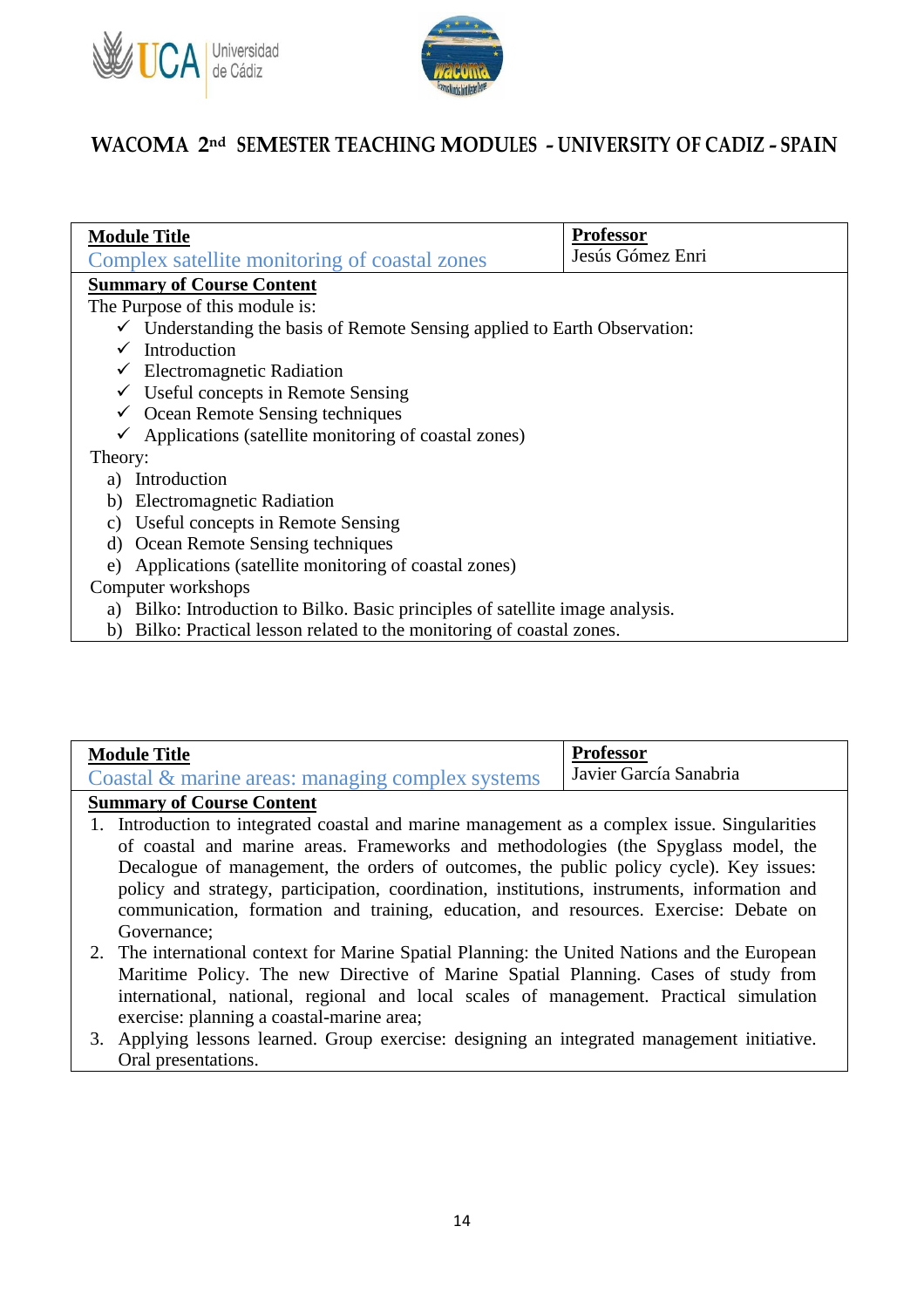



| <b>Module Title</b>                                                                  | <b>Professor</b> |  |
|--------------------------------------------------------------------------------------|------------------|--|
| Complex satellite monitoring of coastal zones                                        | Jesús Gómez Enri |  |
| <b>Summary of Course Content</b>                                                     |                  |  |
| The Purpose of this module is:                                                       |                  |  |
| $\checkmark$ Understanding the basis of Remote Sensing applied to Earth Observation: |                  |  |
| Introduction                                                                         |                  |  |
| $\checkmark$ Electromagnetic Radiation                                               |                  |  |
| $\checkmark$ Useful concepts in Remote Sensing                                       |                  |  |
| $\checkmark$ Ocean Remote Sensing techniques                                         |                  |  |
| Applications (satellite monitoring of coastal zones)<br>$\checkmark$                 |                  |  |
| Theory:                                                                              |                  |  |
| Introduction<br>a)                                                                   |                  |  |
| <b>Electromagnetic Radiation</b><br>b)                                               |                  |  |
| Useful concepts in Remote Sensing<br>$\mathcal{C}$ )                                 |                  |  |
| Ocean Remote Sensing techniques<br>d)                                                |                  |  |
| Applications (satellite monitoring of coastal zones)<br>e)                           |                  |  |
| Computer workshops                                                                   |                  |  |
| Bilko: Introduction to Bilko. Basic principles of satellite image analysis.<br>a)    |                  |  |
| Bilko: Practical lesson related to the monitoring of coastal zones.<br>b)            |                  |  |

| <b>Module Title</b>                                 | <b>Professor</b>       |
|-----------------------------------------------------|------------------------|
| Coastal $\&$ marine areas: managing complex systems | Javier García Sanabria |

#### **Summary of Course Content**

- 1. Introduction to integrated coastal and marine management as a complex issue. Singularities of coastal and marine areas. Frameworks and methodologies (the Spyglass model, the Decalogue of management, the orders of outcomes, the public policy cycle). Key issues: policy and strategy, participation, coordination, institutions, instruments, information and communication, formation and training, education, and resources. Exercise: Debate on Governance;
- 2. The international context for Marine Spatial Planning: the United Nations and the European Maritime Policy. The new Directive of Marine Spatial Planning. Cases of study from international, national, regional and local scales of management. Practical simulation exercise: planning a coastal-marine area;
- 3. Applying lessons learned. Group exercise: designing an integrated management initiative. Oral presentations.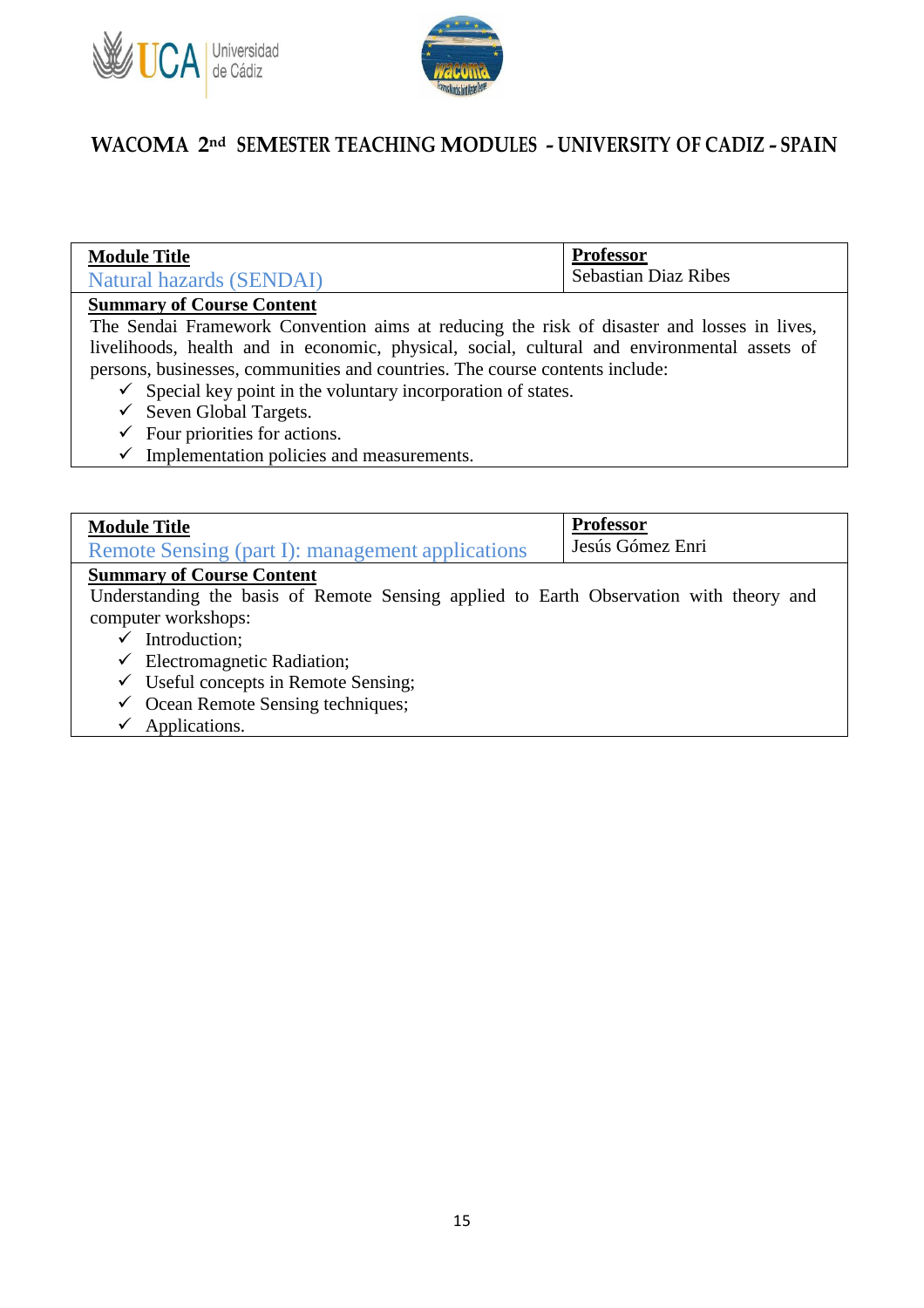



| <b>Module Title</b>      | <b>Professor</b>            |
|--------------------------|-----------------------------|
| Natural hazards (SENDAI) | <b>Sebastian Diaz Ribes</b> |

#### **Summary of Course Content**

The Sendai Framework Convention aims at reducing the risk of disaster and losses in lives, livelihoods, health and in economic, physical, social, cultural and environmental assets of persons, businesses, communities and countries. The course contents include:

- $\checkmark$  Special key point in the voluntary incorporation of states.
- $\checkmark$  Seven Global Targets.
- $\checkmark$  Four priorities for actions.
- $\checkmark$  Implementation policies and measurements.

| <b>Module Title</b>                                                                    | <b>Professor</b> |  |
|----------------------------------------------------------------------------------------|------------------|--|
| Remote Sensing (part I): management applications                                       | Jesús Gómez Enri |  |
| <b>Summary of Course Content</b>                                                       |                  |  |
| Understanding the basis of Remote Sensing applied to Earth Observation with theory and |                  |  |
| computer workshops:                                                                    |                  |  |
| $\checkmark$ Introduction;                                                             |                  |  |
| $\checkmark$ Electromagnetic Radiation;                                                |                  |  |
| $\checkmark$ Useful concepts in Remote Sensing;                                        |                  |  |
| $\checkmark$ Ocean Remote Sensing techniques;                                          |                  |  |
| Applications.                                                                          |                  |  |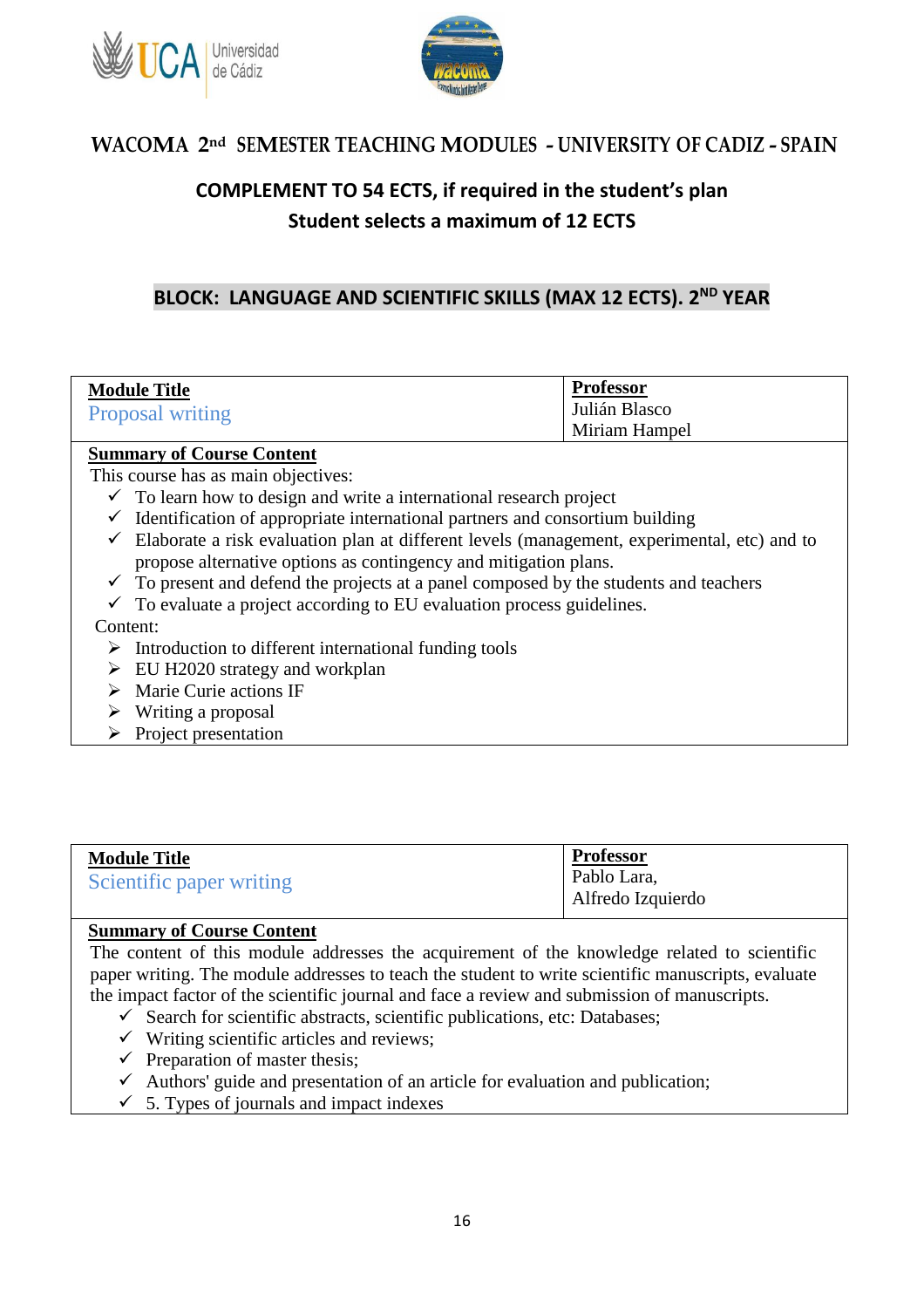



# **COMPLEMENT TO 54 ECTS, if required in the student's plan Student selects a maximum of 12 ECTS**

### **BLOCK: LANGUAGE AND SCIENTIFIC SKILLS (MAX 12 ECTS). 2 ND YEAR**

| <b>Module Title</b><br><b>Proposal writing</b> | <b>Professor</b><br>Julián Blasco |
|------------------------------------------------|-----------------------------------|
|                                                | Miriam Hampel                     |
|                                                |                                   |

#### **Summary of Course Content**

This course has as main objectives:

- $\checkmark$  To learn how to design and write a international research project
- $\checkmark$  Identification of appropriate international partners and consortium building
- $\checkmark$  Elaborate a risk evaluation plan at different levels (management, experimental, etc) and to propose alternative options as contingency and mitigation plans.
- $\checkmark$  To present and defend the projects at a panel composed by the students and teachers
- $\checkmark$  To evaluate a project according to EU evaluation process guidelines.

#### Content:

- $\triangleright$  Introduction to different international funding tools
- $\triangleright$  EU H2020 strategy and workplan
- $\triangleright$  Marie Curie actions IF
- $\triangleright$  Writing a proposal
- $\triangleright$  Project presentation

| <b>Module Title</b>      | <b>Professor</b>  |
|--------------------------|-------------------|
| Scientific paper writing | Pablo Lara,       |
|                          | Alfredo Izquierdo |

### **Summary of Course Content**

The content of this module addresses the acquirement of the knowledge related to scientific paper writing. The module addresses to teach the student to write scientific manuscripts, evaluate the impact factor of the scientific journal and face a review and submission of manuscripts.

- $\checkmark$  Search for scientific abstracts, scientific publications, etc: Databases;
- $\checkmark$  Writing scientific articles and reviews;
- $\checkmark$  Preparation of master thesis;
- $\checkmark$  Authors' guide and presentation of an article for evaluation and publication;
- $\checkmark$  5. Types of journals and impact indexes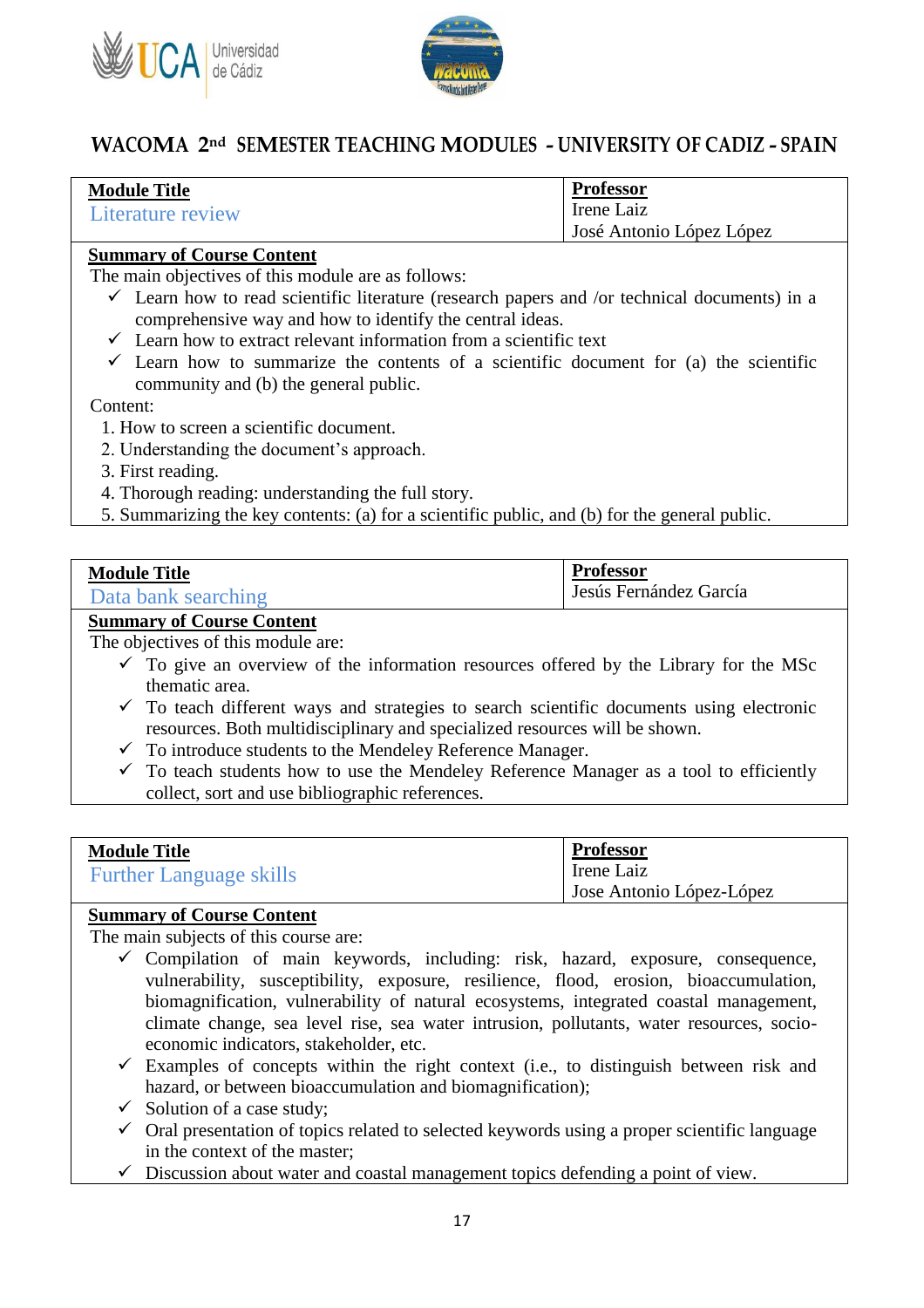



| <b>Module Title</b> | <b>Professor</b>         |
|---------------------|--------------------------|
| Literature review   | Irene Laiz               |
|                     | José Antonio López López |

#### **Summary of Course Content**

The main objectives of this module are as follows:

- $\checkmark$  Learn how to read scientific literature (research papers and /or technical documents) in a comprehensive way and how to identify the central ideas.
- $\checkmark$  Learn how to extract relevant information from a scientific text
- $\checkmark$  Learn how to summarize the contents of a scientific document for (a) the scientific community and (b) the general public.

Content:

- 1. How to screen a scientific document.
- 2. Understanding the document's approach.
- 3. First reading.
- 4. Thorough reading: understanding the full story.
- 5. Summarizing the key contents: (a) for a scientific public, and (b) for the general public.

| <b>Module Title</b> | <b>Professor</b>       |
|---------------------|------------------------|
| Data bank searching | Jesús Fernández García |

#### **Summary of Course Content**

The objectives of this module are:

- $\checkmark$  To give an overview of the information resources offered by the Library for the MSc thematic area.
- $\checkmark$  To teach different ways and strategies to search scientific documents using electronic resources. Both multidisciplinary and specialized resources will be shown.
- $\checkmark$  To introduce students to the Mendeley Reference Manager.
- $\checkmark$  To teach students how to use the Mendeley Reference Manager as a tool to efficiently collect, sort and use bibliographic references.

| <b>Module Title</b>            | <b>Professor</b>         |
|--------------------------------|--------------------------|
| <b>Further Language skills</b> | Irene Laiz               |
|                                | Jose Antonio López-López |

#### **Summary of Course Content**

The main subjects of this course are:

- $\checkmark$  Compilation of main keywords, including: risk, hazard, exposure, consequence, vulnerability, susceptibility, exposure, resilience, flood, erosion, bioaccumulation, biomagnification, vulnerability of natural ecosystems, integrated coastal management, climate change, sea level rise, sea water intrusion, pollutants, water resources, socioeconomic indicators, stakeholder, etc.
- $\checkmark$  Examples of concepts within the right context (i.e., to distinguish between risk and hazard, or between bioaccumulation and biomagnification);
- $\checkmark$  Solution of a case study;
- $\checkmark$  Oral presentation of topics related to selected keywords using a proper scientific language in the context of the master;
- $\checkmark$  Discussion about water and coastal management topics defending a point of view.